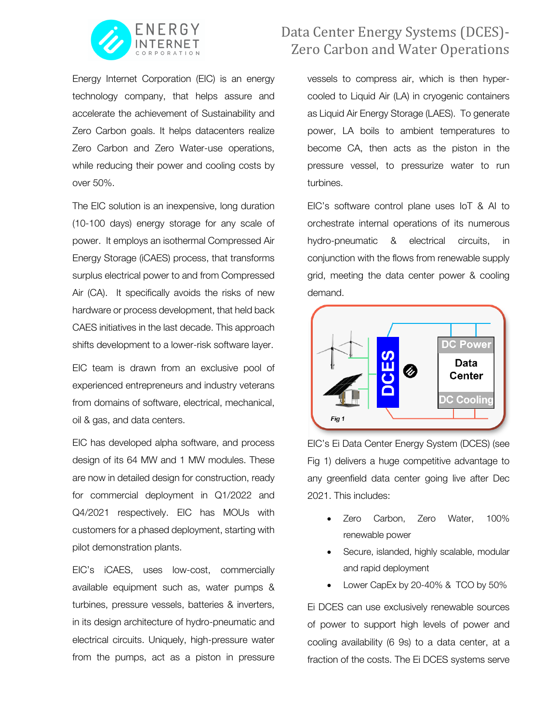

Energy Internet Corporation (EIC) is an energy technology company, that helps assure and accelerate the achievement of Sustainability and Zero Carbon goals. It helps datacenters realize Zero Carbon and Zero Water-use operations, while reducing their power and cooling costs by over 50%.

The EIC solution is an inexpensive, long duration (10-100 days) energy storage for any scale of power. It employs an isothermal Compressed Air Energy Storage (iCAES) process, that transforms surplus electrical power to and from Compressed Air (CA). It specifically avoids the risks of new hardware or process development, that held back CAES initiatives in the last decade. This approach shifts development to a lower-risk software layer.

EIC team is drawn from an exclusive pool of experienced entrepreneurs and industry veterans from domains of software, electrical, mechanical, oil & gas, and data centers.

EIC has developed alpha software, and process design of its 64 MW and 1 MW modules. These are now in detailed design for construction, ready for commercial deployment in Q1/2022 and Q4/2021 respectively. EIC has MOUs with customers for a phased deployment, starting with pilot demonstration plants.

EIC's iCAES, uses low-cost, commercially available equipment such as, water pumps & turbines, pressure vessels, batteries & inverters, in its design architecture of hydro-pneumatic and electrical circuits. Uniquely, high-pressure water from the pumps, act as a piston in pressure

## Data Center Energy Systems (DCES)-**Zero Carbon and Water Operations**

vessels to compress air, which is then hypercooled to Liquid Air (LA) in cryogenic containers as Liquid Air Energy Storage (LAES). To generate power, LA boils to ambient temperatures to become CA, then acts as the piston in the pressure vessel, to pressurize water to run turbines.

EIC's software control plane uses IoT & AI to orchestrate internal operations of its numerous hydro-pneumatic & electrical circuits, in conjunction with the flows from renewable supply grid, meeting the data center power & cooling demand.



EIC's Ei Data Center Energy System (DCES) (see Fig 1) delivers a huge competitive advantage to any greenfield data center going live after Dec 2021. This includes:

- Zero Carbon, Zero Water, 100% renewable power
- Secure, islanded, highly scalable, modular and rapid deployment
- Lower CapEx by 20-40% & TCO by 50%

Ei DCES can use exclusively renewable sources of power to support high levels of power and cooling availability (6 9s) to a data center, at a fraction of the costs. The Ei DCES systems serve